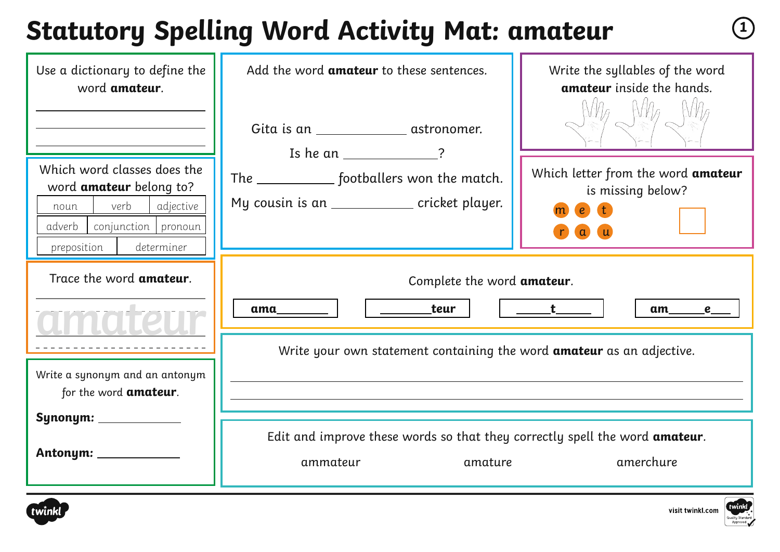## **Statutory Spelling Word Activity Mat: amateur <sup>1</sup>**

| Use a dictionary to define the<br>word amateur.                                                                                                            | Add the word <b>amateur</b> to these sentences.<br>Gita is an _________________ astronomer.<br>Is he an $\frac{1}{2}$ ? | Write the syllables of the word<br>amateur inside the hands.          |
|------------------------------------------------------------------------------------------------------------------------------------------------------------|-------------------------------------------------------------------------------------------------------------------------|-----------------------------------------------------------------------|
| Which word classes does the<br>word <b>amateur</b> belong to?<br>verb<br>adjective<br>noun<br>adverb<br>conjunction   pronoun<br>determiner<br>preposition | The _______________ footballers won the match.<br>My cousin is an ______________ cricket player.                        | Which letter from the word amateur<br>is missing below?<br>$\epsilon$ |
| Trace the word amateur.                                                                                                                                    | Complete the word amateur.<br>teur<br>$\frac{t}{t}$<br>am e                                                             |                                                                       |
| Write a synonym and an antonym<br>for the word <b>amateur</b> .                                                                                            | Write your own statement containing the word <b>amateur</b> as an adjective.                                            |                                                                       |
|                                                                                                                                                            | Edit and improve these words so that they correctly spell the word amateur.<br>ammateur<br>amature                      | amerchure                                                             |



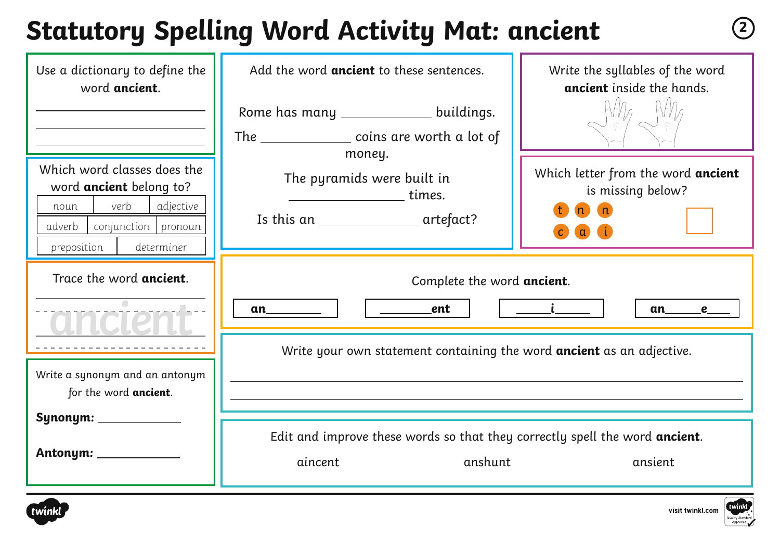#### **Statutory Spelling Word Activity Mat: ancient <sup>2</sup>**

| Use a dictionary to define the<br>word ancient.                                         | Add the word ancient to these sentences.                                                                     | Write the syllables of the word<br>ancient inside the hands. |
|-----------------------------------------------------------------------------------------|--------------------------------------------------------------------------------------------------------------|--------------------------------------------------------------|
|                                                                                         | Rome has many ______________ buildings.                                                                      |                                                              |
|                                                                                         | The ________________ coins are worth a lot of<br>money.                                                      |                                                              |
| Which word classes does the<br>word <b>ancient</b> belong to?                           | The pyramids were built in<br>___________________ times.                                                     | Which letter from the word ancient<br>is missing below?      |
| verb<br>adjective<br>noun<br>adverb<br>conjunction pronoun<br>determiner<br>preposition | Is this an ______________________ artefact?                                                                  | (n)<br>$\alpha$                                              |
| Trace the word ancient.                                                                 | Complete the word ancient.<br>ent                                                                            | an $e$                                                       |
| Write a synonym and an antonym                                                          | Write your own statement containing the word <b>ancient</b> as an adjective.                                 |                                                              |
| for the word ancient.                                                                   |                                                                                                              |                                                              |
| Synonym: _____________<br>Antonym: _____________                                        | Edit and improve these words so that they correctly spell the word ancient.<br>anshunt<br>aincent<br>ansient |                                                              |



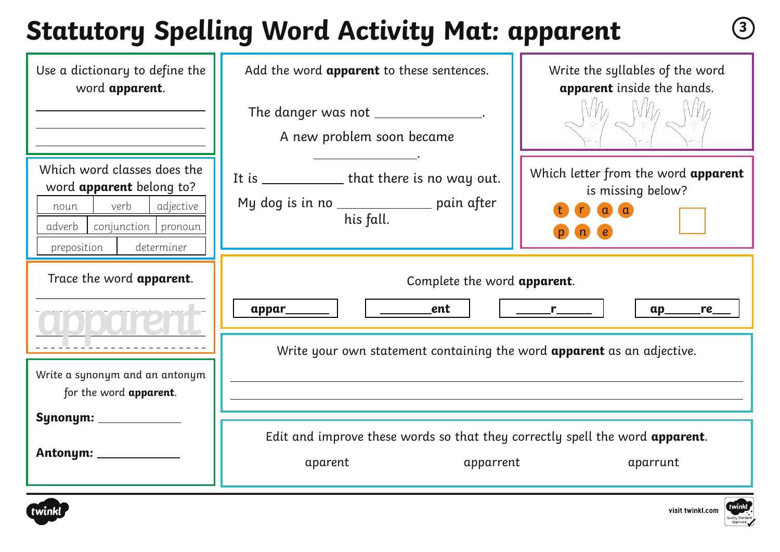# **Statutory Spelling Word Activity Mat: apparent <sup>3</sup>**

| Use a dictionary to define the<br>word apparent.                                                                                                   | Add the word apparent to these sentences.<br>The danger was not <b>with the danger was not</b><br>A new problem soon became | Write the syllables of the word<br>apparent inside the hands.                                                              |
|----------------------------------------------------------------------------------------------------------------------------------------------------|-----------------------------------------------------------------------------------------------------------------------------|----------------------------------------------------------------------------------------------------------------------------|
| Which word classes does the<br>word apparent belong to?<br>verb<br>adjective<br>noun<br>adverb<br>conjunction pronoun<br>preposition<br>determiner | It is ______________ that there is no way out.<br>My dog is in no _____________ pain after<br>his fall.                     | Which letter from the word apparent<br>is missing below?<br>$\mathbf{r}$ a $\mathbf{a}$<br>$\blacksquare$<br>e <sup></sup> |
| Trace the word apparent.                                                                                                                           | Complete the word apparent.<br>$\rule{1em}{0.15mm}$ ent<br>appar_____<br>$r$ and $r$ and $r$ and $r$ and $r$<br>$ap_$       |                                                                                                                            |
| Write a synonym and an antonym<br>for the word apparent.                                                                                           | Write your own statement containing the word <b>apparent</b> as an adjective.                                               |                                                                                                                            |
| Synonym: __________<br>Antonym: ___________                                                                                                        | Edit and improve these words so that they correctly spell the word apparent.<br>aparent<br>apparrent<br>aparrunt            |                                                                                                                            |



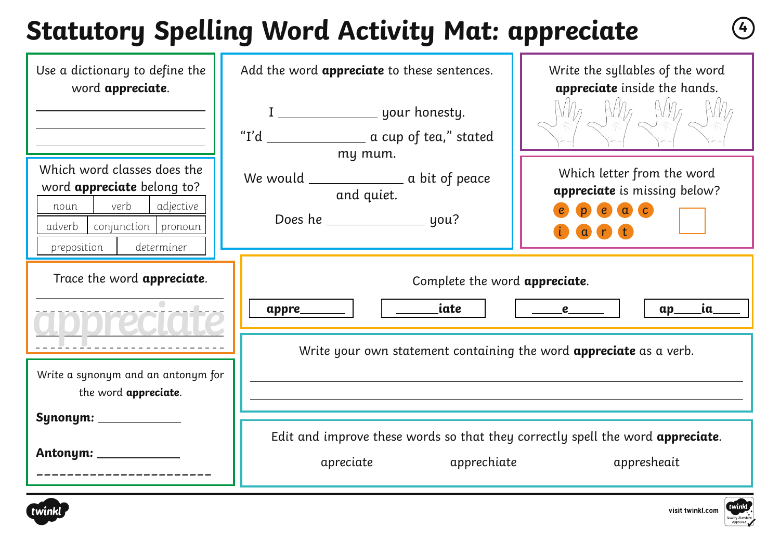# **Statutory Spelling Word Activity Mat: appreciate <sup>4</sup>**

| Use a dictionary to define the<br>word appreciate.                                                                                                            | Add the word <b>appreciate</b> to these sentences.<br>"I'd __________________ a cup of tea," stated        | Write the syllables of the word<br>appreciate inside the hands.                  |
|---------------------------------------------------------------------------------------------------------------------------------------------------------------|------------------------------------------------------------------------------------------------------------|----------------------------------------------------------------------------------|
| Which word classes does the<br>word <b>appreciate</b> belong to?<br>verb<br>adjective<br>noun<br>adverb  <br>conjunction pronoun<br>determiner<br>preposition | my mum.<br>and quiet.                                                                                      | Which letter from the word<br>appreciate is missing below?<br>$e$ a $c$<br>a r t |
| Trace the word appreciate.                                                                                                                                    | Complete the word appreciate.<br>appre_______                                                              | ia<br>e<br>$ap_$                                                                 |
| Write a synonym and an antonym for<br>the word <b>appreciate</b> .                                                                                            | Write your own statement containing the word <b>appreciate</b> as a verb.                                  |                                                                                  |
| Synonym: ____________                                                                                                                                         | Edit and improve these words so that they correctly spell the word appreciate.<br>apprechiate<br>apreciate | appresheait                                                                      |